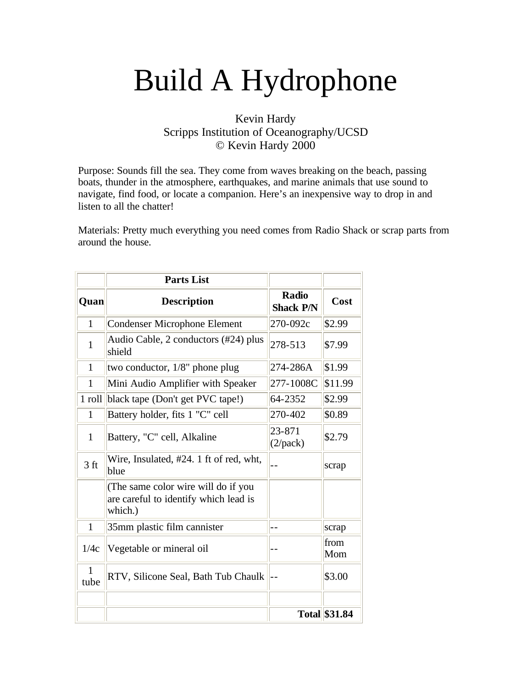# Build A Hydrophone

## Kevin Hardy Scripps Institution of Oceanography/UCSD © Kevin Hardy 2000

Purpose: Sounds fill the sea. They come from waves breaking on the beach, passing boats, thunder in the atmosphere, earthquakes, and marine animals that use sound to navigate, find food, or locate a companion. Here's an inexpensive way to drop in and listen to all the chatter!

Materials: Pretty much everything you need comes from Radio Shack or scrap parts from around the house.

|                 | <b>Parts List</b>                                                                       |                           |                      |
|-----------------|-----------------------------------------------------------------------------------------|---------------------------|----------------------|
| Quan            | <b>Description</b>                                                                      | Radio<br><b>Shack P/N</b> | Cost                 |
| $\mathbf{1}$    | <b>Condenser Microphone Element</b>                                                     | 270-092c                  | \$2.99               |
| $\mathbf{1}$    | Audio Cable, 2 conductors (#24) plus<br>shield                                          | 278-513                   | \$7.99               |
| $\mathbf{1}$    | two conductor, 1/8" phone plug                                                          | 274-286A                  | \$1.99               |
| $\mathbf{1}$    | Mini Audio Amplifier with Speaker                                                       | 277-1008C                 | \$11.99              |
| 1 roll          | black tape (Don't get PVC tape!)                                                        | 64-2352                   | \$2.99               |
| $\mathbf{1}$    | Battery holder, fits 1 "C" cell                                                         | 270-402                   | \$0.89               |
| 1               | Battery, "C" cell, Alkaline                                                             | 23-871<br>$(2$ /pack $)$  | \$2.79               |
| 3 <sub>ft</sub> | Wire, Insulated, #24. 1 ft of red, wht,<br>blue                                         |                           | scrap                |
|                 | (The same color wire will do if you<br>are careful to identify which lead is<br>which.) |                           |                      |
| $\mathbf{1}$    | 35mm plastic film cannister                                                             |                           | scrap                |
| 1/4c            | Vegetable or mineral oil                                                                |                           | from<br>Mom          |
| 1<br>tube       | RTV, Silicone Seal, Bath Tub Chaulk                                                     |                           | \$3.00               |
|                 |                                                                                         |                           |                      |
|                 |                                                                                         |                           | <b>Total \$31.84</b> |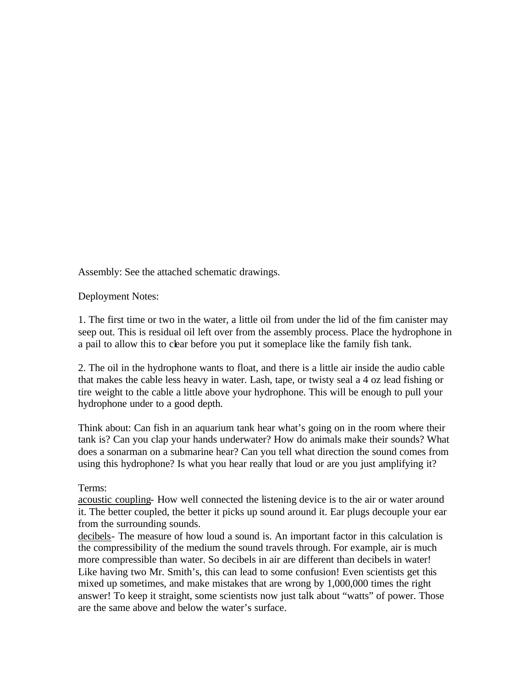Assembly: See the attached schematic drawings.

Deployment Notes:

1. The first time or two in the water, a little oil from under the lid of the fim canister may seep out. This is residual oil left over from the assembly process. Place the hydrophone in a pail to allow this to clear before you put it someplace like the family fish tank.

2. The oil in the hydrophone wants to float, and there is a little air inside the audio cable that makes the cable less heavy in water. Lash, tape, or twisty seal a 4 oz lead fishing or tire weight to the cable a little above your hydrophone. This will be enough to pull your hydrophone under to a good depth.

Think about: Can fish in an aquarium tank hear what's going on in the room where their tank is? Can you clap your hands underwater? How do animals make their sounds? What does a sonarman on a submarine hear? Can you tell what direction the sound comes from using this hydrophone? Is what you hear really that loud or are you just amplifying it?

### Terms:

acoustic coupling- How well connected the listening device is to the air or water around it. The better coupled, the better it picks up sound around it. Ear plugs decouple your ear from the surrounding sounds.

decibels- The measure of how loud a sound is. An important factor in this calculation is the compressibility of the medium the sound travels through. For example, air is much more compressible than water. So decibels in air are different than decibels in water! Like having two Mr. Smith's, this can lead to some confusion! Even scientists get this mixed up sometimes, and make mistakes that are wrong by 1,000,000 times the right answer! To keep it straight, some scientists now just talk about "watts" of power. Those are the same above and below the water's surface.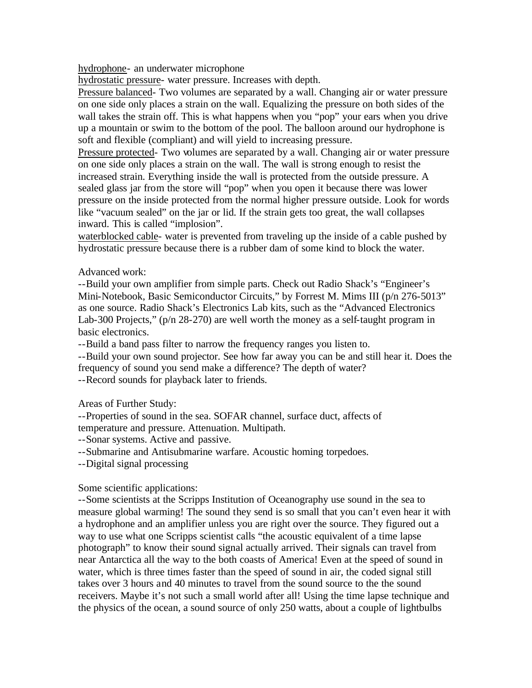hydrophone- an underwater microphone

hydrostatic pressure- water pressure. Increases with depth.

Pressure balanced- Two volumes are separated by a wall. Changing air or water pressure on one side only places a strain on the wall. Equalizing the pressure on both sides of the wall takes the strain off. This is what happens when you "pop" your ears when you drive up a mountain or swim to the bottom of the pool. The balloon around our hydrophone is soft and flexible (compliant) and will yield to increasing pressure.

Pressure protected- Two volumes are separated by a wall. Changing air or water pressure on one side only places a strain on the wall. The wall is strong enough to resist the increased strain. Everything inside the wall is protected from the outside pressure. A sealed glass jar from the store will "pop" when you open it because there was lower pressure on the inside protected from the normal higher pressure outside. Look for words like "vacuum sealed" on the jar or lid. If the strain gets too great, the wall collapses inward. This is called "implosion".

waterblocked cable- water is prevented from traveling up the inside of a cable pushed by hydrostatic pressure because there is a rubber dam of some kind to block the water.

### Advanced work:

--Build your own amplifier from simple parts. Check out Radio Shack's "Engineer's Mini-Notebook, Basic Semiconductor Circuits," by Forrest M. Mims III (p/n 276-5013" as one source. Radio Shack's Electronics Lab kits, such as the "Advanced Electronics Lab-300 Projects," (p/n 28-270) are well worth the money as a self-taught program in basic electronics.

--Build a band pass filter to narrow the frequency ranges you listen to.

--Build your own sound projector. See how far away you can be and still hear it. Does the frequency of sound you send make a difference? The depth of water?

--Record sounds for playback later to friends.

Areas of Further Study:

--Properties of sound in the sea. SOFAR channel, surface duct, affects of

temperature and pressure. Attenuation. Multipath.

--Sonar systems. Active and passive.

--Submarine and Antisubmarine warfare. Acoustic homing torpedoes.

--Digital signal processing

#### Some scientific applications:

--Some scientists at the Scripps Institution of Oceanography use sound in the sea to measure global warming! The sound they send is so small that you can't even hear it with a hydrophone and an amplifier unless you are right over the source. They figured out a way to use what one Scripps scientist calls "the acoustic equivalent of a time lapse photograph" to know their sound signal actually arrived. Their signals can travel from near Antarctica all the way to the both coasts of America! Even at the speed of sound in water, which is three times faster than the speed of sound in air, the coded signal still takes over 3 hours and 40 minutes to travel from the sound source to the the sound receivers. Maybe it's not such a small world after all! Using the time lapse technique and the physics of the ocean, a sound source of only 250 watts, about a couple of lightbulbs